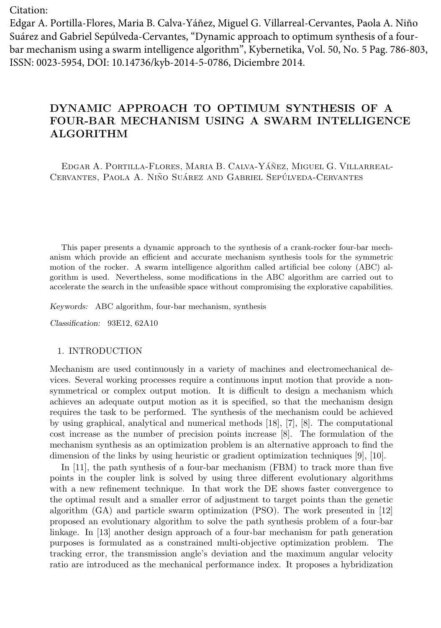Citation:

Edgar A. Portilla-Flores, Maria B. Calva-Yáñez, Miguel G. Villarreal-Cervantes, Paola A. Niño Suárez and Gabriel Sepúlveda-Cervantes, "Dynamic approach to optimum synthesis of a four‐ bar mechanism using a swarm intelligence algorithm", Kybernetika, Vol. 50, No. 5 Pag. 786-803, ISSN: 0023-5954, DOI: 10.14736/kyb-2014-5-0786, Diciembre 2014.

# **DYNAMIC APPROACH TO OPTIMUM SYNTHESIS OF A FOUR-BAR MECHANISM USING A SWARM INTELLIGENCE ALGORITHM**

EDGAR A. PORTILLA-FLORES, MARIA B. CALVA-YÁÑEZ, MIGUEL G. VILLARREAL-CERVANTES, PAOLA A. NIÑO SUÁREZ AND GABRIEL SEPÚLVEDA-CERVANTES

This paper presents a dynamic approach to the synthesis of a crank-rocker four-bar mechanism which provide an efficient and accurate mechanism synthesis tools for the symmetric motion of the rocker. A swarm intelligence algorithm called artificial bee colony (ABC) algorithm is used. Nevertheless, some modifications in the ABC algorithm are carried out to accelerate the search in the unfeasible space without compromising the explorative capabilities.

*Keywords:* ABC algorithm, four-bar mechanism, synthesis

*Classification:* 93E12, 62A10

## 1. INTRODUCTION

Mechanism are used continuously in a variety of machines and electromechanical devices. Several working processes require a continuous input motion that provide a nonsymmetrical or complex output motion. It is difficult to design a mechanism which achieves an adequate output motion as it is specified, so that the mechanism design requires the task to be performed. The synthesis of the mechanism could be achieved by using graphical, analytical and numerical methods [18], [7], [8]. The computational cost increase as the number of precision points increase [8]. The formulation of the mechanism synthesis as an optimization problem is an alternative approach to find the dimension of the links by using heuristic or gradient optimization techniques [9], [10].

In [11], the path synthesis of a four-bar mechanism (FBM) to track more than five points in the coupler link is solved by using three different evolutionary algorithms with a new refinement technique. In that work the DE shows faster convergence to the optimal result and a smaller error of adjustment to target points than the genetic algorithm (GA) and particle swarm optimization (PSO). The work presented in [12] proposed an evolutionary algorithm to solve the path synthesis problem of a four-bar linkage. In [13] another design approach of a four-bar mechanism for path generation purposes is formulated as a constrained multi-objective optimization problem. The tracking error, the transmission angle's deviation and the maximum angular velocity ratio are introduced as the mechanical performance index. It proposes a hybridization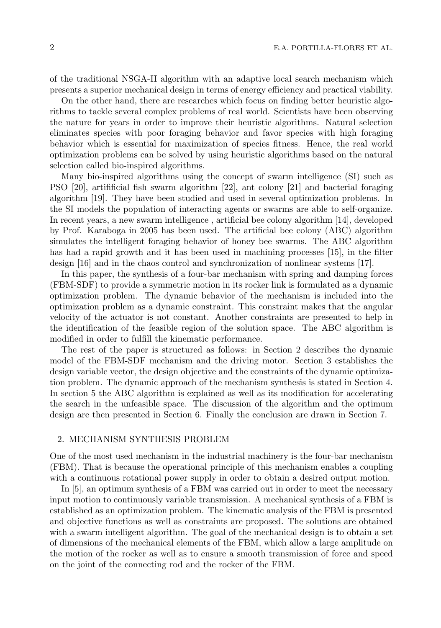of the traditional NSGA-II algorithm with an adaptive local search mechanism which presents a superior mechanical design in terms of energy efficiency and practical viability.

On the other hand, there are researches which focus on finding better heuristic algorithms to tackle several complex problems of real world. Scientists have been observing the nature for years in order to improve their heuristic algorithms. Natural selection eliminates species with poor foraging behavior and favor species with high foraging behavior which is essential for maximization of species fitness. Hence, the real world optimization problems can be solved by using heuristic algorithms based on the natural selection called bio-inspired algorithms.

Many bio-inspired algorithms using the concept of swarm intelligence (SI) such as PSO [20], artifificial fish swarm algorithm [22], ant colony [21] and bacterial foraging algorithm [19]. They have been studied and used in several optimization problems. In the SI models the population of interacting agents or swarms are able to self-organize. In recent years, a new swarm intelligence , artificial bee colony algorithm [14], developed by Prof. Karaboga in 2005 has been used. The artificial bee colony (ABC) algorithm simulates the intelligent foraging behavior of honey bee swarms. The ABC algorithm has had a rapid growth and it has been used in machining processes [15], in the filter design [16] and in the chaos control and synchronization of nonlinear systems [17].

In this paper, the synthesis of a four-bar mechanism with spring and damping forces (FBM-SDF) to provide a symmetric motion in its rocker link is formulated as a dynamic optimization problem. The dynamic behavior of the mechanism is included into the optimization problem as a dynamic constraint. This constraint makes that the angular velocity of the actuator is not constant. Another constraints are presented to help in the identification of the feasible region of the solution space. The ABC algorithm is modified in order to fulfill the kinematic performance.

The rest of the paper is structured as follows: in Section 2 describes the dynamic model of the FBM-SDF mechanism and the driving motor. Section 3 establishes the design variable vector, the design objective and the constraints of the dynamic optimization problem. The dynamic approach of the mechanism synthesis is stated in Section 4. In section 5 the ABC algorithm is explained as well as its modification for accelerating the search in the unfeasible space. The discussion of the algorithm and the optimum design are then presented in Section 6. Finally the conclusion are drawn in Section 7.

## 2. MECHANISM SYNTHESIS PROBLEM

One of the most used mechanism in the industrial machinery is the four-bar mechanism (FBM). That is because the operational principle of this mechanism enables a coupling with a continuous rotational power supply in order to obtain a desired output motion.

In [5], an optimum synthesis of a FBM was carried out in order to meet the necessary input motion to continuously variable transmission. A mechanical synthesis of a FBM is established as an optimization problem. The kinematic analysis of the FBM is presented and objective functions as well as constraints are proposed. The solutions are obtained with a swarm intelligent algorithm. The goal of the mechanical design is to obtain a set of dimensions of the mechanical elements of the FBM, which allow a large amplitude on the motion of the rocker as well as to ensure a smooth transmission of force and speed on the joint of the connecting rod and the rocker of the FBM.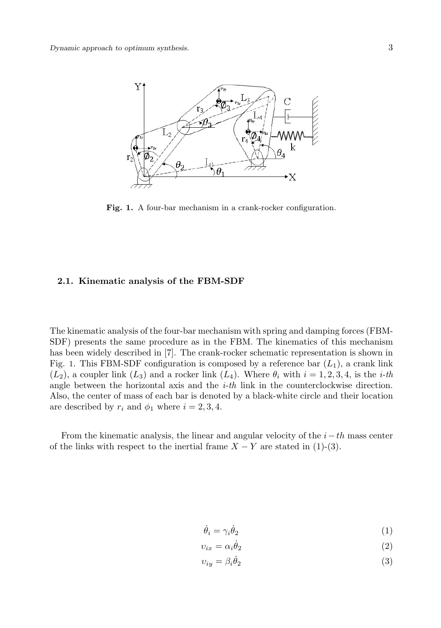

Fig. 1. A four-bar mechanism in a crank-rocker configuration.

## **2.1. Kinematic analysis of the FBM-SDF**

The kinematic analysis of the four-bar mechanism with spring and damping forces (FBM-SDF) presents the same procedure as in the FBM. The kinematics of this mechanism has been widely described in [7]. The crank-rocker schematic representation is shown in Fig. 1. This FBM-SDF configuration is composed by a reference bar  $(L_1)$ , a crank link  $(L_2)$ , a coupler link  $(L_3)$  and a rocker link  $(L_4)$ . Where  $\theta_i$  with  $i = 1, 2, 3, 4$ , is the *i-th* angle between the horizontal axis and the *i-th* link in the counterclockwise direction. Also, the center of mass of each bar is denoted by a black-white circle and their location are described by  $r_i$  and  $\phi_1$  where  $i = 2, 3, 4$ .

From the kinematic analysis, the linear and angular velocity of the *i−th* mass center of the links with respect to the inertial frame  $X - Y$  are stated in (1)-(3).

$$
\dot{\theta}_i = \gamma_i \dot{\theta}_2 \tag{1}
$$

$$
v_{ix} = \alpha_i \dot{\theta}_2 \tag{2}
$$

$$
v_{iy} = \beta_i \dot{\theta}_2 \tag{3}
$$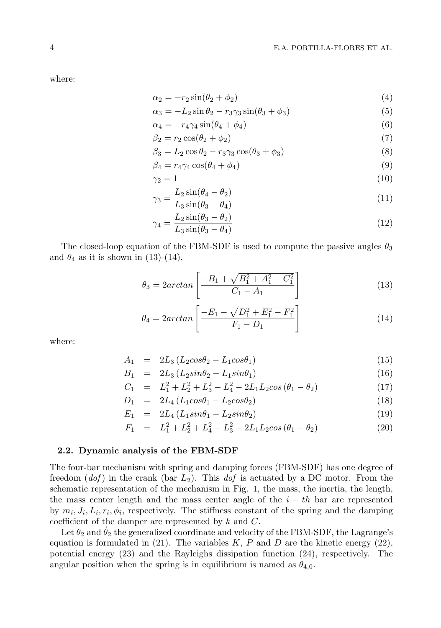where:

$$
\alpha_2 = -r_2 \sin(\theta_2 + \phi_2) \tag{4}
$$

$$
\alpha_3 = -L_2 \sin \theta_2 - r_3 \gamma_3 \sin(\theta_3 + \phi_3) \tag{5}
$$

$$
\alpha_4 = -r_4 \gamma_4 \sin(\theta_4 + \phi_4) \tag{6}
$$

$$
\beta_2 = r_2 \cos(\theta_2 + \phi_2) \tag{7}
$$

$$
\beta_3 = L_2 \cos \theta_2 - r_3 \gamma_3 \cos(\theta_3 + \phi_3) \tag{8}
$$

$$
\beta_4 = r_4 \gamma_4 \cos(\theta_4 + \phi_4) \tag{9}
$$

$$
\gamma_2 = 1\tag{10}
$$

$$
\gamma_3 = \frac{L_2 \sin(\theta_4 - \theta_2)}{L_3 \sin(\theta_3 - \theta_4)}\tag{11}
$$

$$
\gamma_4 = \frac{L_2 \sin(\theta_3 - \theta_2)}{L_3 \sin(\theta_3 - \theta_4)}\tag{12}
$$

The closed-loop equation of the FBM-SDF is used to compute the passive angles  $\theta_3$ and  $\theta_4$  as it is shown in (13)-(14).

$$
\theta_3 = 2\arctan\left[\frac{-B_1 + \sqrt{B_1^2 + A_1^2 - C_1^2}}{C_1 - A_1}\right] \tag{13}
$$

$$
\theta_4 = 2\arctan\left[\frac{-E_1 - \sqrt{D_1^2 + E_1^2 - F_1^2}}{F_1 - D_1}\right] \tag{14}
$$

where:

$$
A_1 = 2L_3 (L_2 cos \theta_2 - L_1 cos \theta_1) \tag{15}
$$

$$
B_1 = 2L_3 (L_2 sin\theta_2 - L_1 sin\theta_1) \tag{16}
$$

$$
C_1 = L_1^2 + L_2^2 + L_3^2 - L_4^2 - 2L_1L_2\cos(\theta_1 - \theta_2)
$$
\n(17)

$$
D_1 = 2L_4 (L_1 cos\theta_1 - L_2 cos\theta_2)
$$
 (18)

$$
E_1 = 2L_4 (L_1 sin\theta_1 - L_2 sin\theta_2)
$$
 (19)

$$
F_1 = L_1^2 + L_2^2 + L_4^2 - L_3^2 - 2L_1L_2\cos(\theta_1 - \theta_2)
$$
\n(20)

## **2.2. Dynamic analysis of the FBM-SDF**

The four-bar mechanism with spring and damping forces (FBM-SDF) has one degree of freedom (*dof* ) in the crank (bar *L*2). This *dof* is actuated by a DC motor. From the schematic representation of the mechanism in Fig. 1, the mass, the inertia, the length, the mass center length and the mass center angle of the *i − th* bar are represented by  $m_i, J_i, L_i, r_i, \phi_i$ , respectively. The stiffness constant of the spring and the damping coefficient of the damper are represented by *k* and *C*.

Let  $\theta_2$  and  $\theta_2$  the generalized coordinate and velocity of the FBM-SDF, the Lagrange's equation is formulated in  $(21)$ . The variables  $K, P$  and  $D$  are the kinetic energy  $(22)$ , potential energy (23) and the Rayleighs dissipation function (24), respectively. The angular position when the spring is in equilibrium is named as  $\theta_{4,0}$ .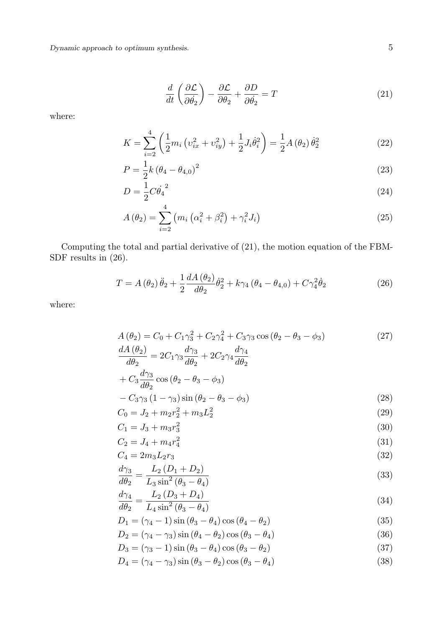$$
\frac{d}{dt}\left(\frac{\partial \mathcal{L}}{\partial \dot{\theta}_2}\right) - \frac{\partial \mathcal{L}}{\partial \theta_2} + \frac{\partial D}{\partial \dot{\theta}_2} = T \tag{21}
$$

where:

$$
K = \sum_{i=2}^{4} \left( \frac{1}{2} m_i \left( v_{ix}^2 + v_{iy}^2 \right) + \frac{1}{2} J_i \dot{\theta}_i^2 \right) = \frac{1}{2} A \left( \theta_2 \right) \dot{\theta}_2^2 \tag{22}
$$

$$
P = \frac{1}{2}k(\theta_4 - \theta_{4,0})^2
$$
 (23)

$$
D = \frac{1}{2}C\dot{\theta}_4^2\tag{24}
$$

$$
A(\theta_2) = \sum_{i=2}^{4} (m_i (\alpha_i^2 + \beta_i^2) + \gamma_i^2 J_i)
$$
 (25)

Computing the total and partial derivative of (21), the motion equation of the FBM-SDF results in  $(26)$ .

$$
T = A(\theta_2)\ddot{\theta}_2 + \frac{1}{2}\frac{dA(\theta_2)}{d\theta_2}\dot{\theta}_2^2 + k\gamma_4(\theta_4 - \theta_{4,0}) + C\gamma_4^2\dot{\theta}_2
$$
 (26)

where:

$$
A(\theta_2) = C_0 + C_1 \gamma_3^2 + C_2 \gamma_4^2 + C_3 \gamma_3 \cos(\theta_2 - \theta_3 - \phi_3)
$$
\n
$$
\frac{dA(\theta_2)}{d\theta_2} = 2C_1 \gamma_3 \frac{d\gamma_3}{d\theta_2} + 2C_2 \gamma_4 \frac{d\gamma_4}{d\theta_2}
$$
\n
$$
+ C_3 \frac{d\gamma_3}{d\theta_2} \cos(\theta_2 - \theta_3 - \phi_3)
$$
\n
$$
- C_3 \gamma_3 (1 - \gamma_3) \sin(\theta_2 - \theta_3 - \phi_3)
$$
\n
$$
C_0 = J_2 + m_2 r_2^2 + m_3 L_2^2
$$
\n(29)

$$
C_1 = J_3 + m_3 r_3^2 \tag{30}
$$

$$
C_2 = J_4 + m_4 r_4^2 \tag{31}
$$

$$
C_4 = 2m_3 L_2 r_3 \tag{32}
$$

$$
\frac{d\gamma_3}{d\theta_2} = \frac{L_2 (D_1 + D_2)}{L_3 \sin^2 (\theta_3 - \theta_4)}\tag{33}
$$

$$
\frac{d\gamma_4}{d\theta_2} = \frac{L_2 (D_3 + D_4)}{L_4 \sin^2(\theta_3 - \theta_4)}\tag{34}
$$

$$
D_1 = (\gamma_4 - 1)\sin(\theta_3 - \theta_4)\cos(\theta_4 - \theta_2)
$$
\n(35)

$$
D_2 = (\gamma_4 - \gamma_3)\sin(\theta_4 - \theta_2)\cos(\theta_3 - \theta_4)
$$
\n(36)

$$
D_3 = (\gamma_3 - 1)\sin(\theta_3 - \theta_4)\cos(\theta_3 - \theta_2)
$$
\n(37)

$$
D_4 = (\gamma_4 - \gamma_3)\sin(\theta_3 - \theta_2)\cos(\theta_3 - \theta_4)
$$
\n(38)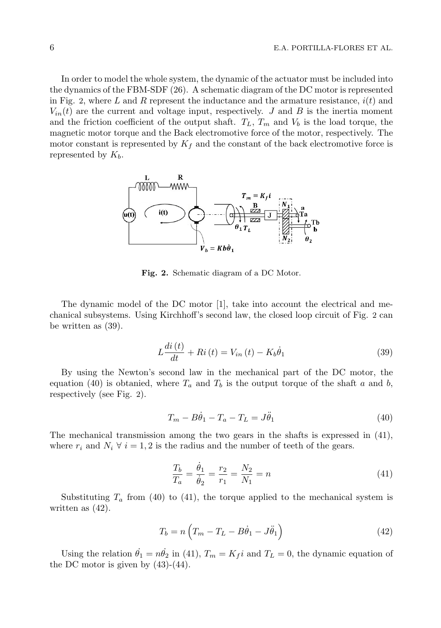In order to model the whole system, the dynamic of the actuator must be included into the dynamics of the FBM-SDF (26). A schematic diagram of the DC motor is represented in Fig. 2, where *L* and *R* represent the inductance and the armature resistance, *i*(*t*) and  $V_{in}(t)$  are the current and voltage input, respectively. *J* and *B* is the inertia moment and the friction coefficient of the output shaft.  $T_L$ ,  $T_m$  and  $V_b$  is the load torque, the magnetic motor torque and the Back electromotive force of the motor, respectively. The motor constant is represented by  $K_f$  and the constant of the back electromotive force is represented by *Kb*.



**Fig. 2.** Schematic diagram of a DC Motor.

The dynamic model of the DC motor [1], take into account the electrical and mechanical subsystems. Using Kirchhoff's second law, the closed loop circuit of Fig. 2 can be written as (39).

$$
L\frac{di\left(t\right)}{dt} + Ri\left(t\right) = V_{in}\left(t\right) - K_b\dot{\theta}_1\tag{39}
$$

By using the Newton's second law in the mechanical part of the DC motor, the equation (40) is obtanied, where  $T_a$  and  $T_b$  is the output torque of the shaft *a* and *b*, respectively (see Fig. 2).

$$
T_m - B\dot{\theta}_1 - T_a - T_L = J\ddot{\theta}_1 \tag{40}
$$

The mechanical transmission among the two gears in the shafts is expressed in (41), where  $r_i$  and  $N_i \forall i = 1, 2$  is the radius and the number of teeth of the gears.

$$
\frac{T_b}{T_a} = \frac{\dot{\theta}_1}{\dot{\theta}_2} = \frac{r_2}{r_1} = \frac{N_2}{N_1} = n \tag{41}
$$

Substituting  $T_a$  from (40) to (41), the torque applied to the mechanical system is written as (42).

$$
T_b = n\left(T_m - T_L - B\dot{\theta}_1 - J\ddot{\theta}_1\right) \tag{42}
$$

Using the relation  $\dot{\theta}_1 = n\dot{\theta}_2$  in (41),  $T_m = K_f i$  and  $T_L = 0$ , the dynamic equation of the DC motor is given by  $(43)-(44)$ .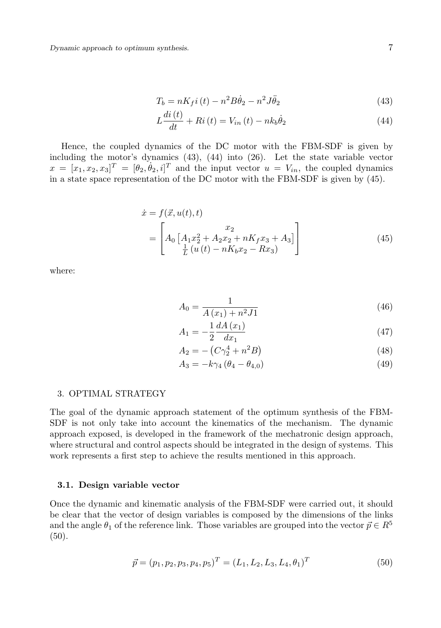*Dynamic approach to optimum synthesis.* 7

$$
T_b = nK_f i(t) - n^2 B \dot{\theta}_2 - n^2 J \ddot{\theta}_2 \tag{43}
$$

$$
L\frac{di\left(t\right)}{dt} + Ri\left(t\right) = V_{in}\left(t\right) - nk_b\dot{\theta}_2\tag{44}
$$

Hence, the coupled dynamics of the DC motor with the FBM-SDF is given by including the motor's dynamics (43), (44) into (26). Let the state variable vector  $x = [x_1, x_2, x_3]^T = [\theta_2, \theta_2, i]^T$  and the input vector  $u = V_{in}$ , the coupled dynamics in a state space representation of the DC motor with the FBM-SDF is given by (45).

$$
\begin{aligned}\n\dot{x} &= f(\vec{x}, u(t), t) \\
&= \left[ A_0 \left[ A_1 x_2^2 + A_2 x_2 + nK_f x_3 + A_3 \right] \right] \\
&= \left[ \frac{1}{2} \left( u(t) - nK_b x_2 - R x_3 \right) \right]\n\end{aligned} \tag{45}
$$

where:

$$
A_0 = \frac{1}{A(x_1) + n^2 J 1}
$$
\n(46)

$$
A_1 = -\frac{1}{2} \frac{dA(x_1)}{dx_1} \tag{47}
$$

$$
A_2 = -\left(C\gamma_2^4 + n^2B\right) \tag{48}
$$

$$
A_3 = -k\gamma_4 (\theta_4 - \theta_{4,0})
$$
\n(49)

#### 3. OPTIMAL STRATEGY

The goal of the dynamic approach statement of the optimum synthesis of the FBM-SDF is not only take into account the kinematics of the mechanism. The dynamic approach exposed, is developed in the framework of the mechatronic design approach, where structural and control aspects should be integrated in the design of systems. This work represents a first step to achieve the results mentioned in this approach.

#### **3.1. Design variable vector**

Once the dynamic and kinematic analysis of the FBM-SDF were carried out, it should be clear that the vector of design variables is composed by the dimensions of the links and the angle  $\theta_1$  of the reference link. Those variables are grouped into the vector  $\vec{p} \in R^5$ (50).

$$
\vec{p} = (p_1, p_2, p_3, p_4, p_5)^T = (L_1, L_2, L_3, L_4, \theta_1)^T
$$
\n(50)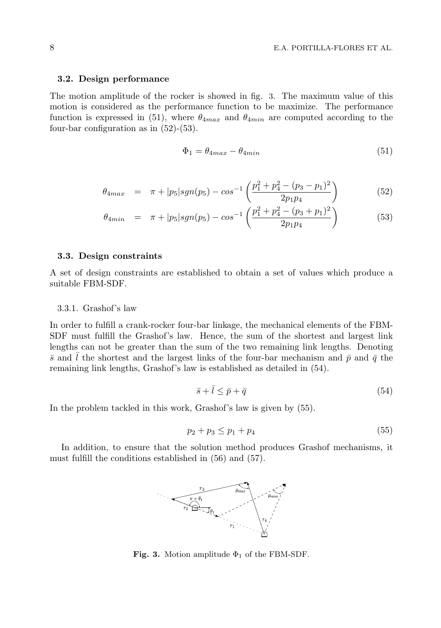#### **3.2. Design performance**

The motion amplitude of the rocker is showed in fig. 3. The maximum value of this motion is considered as the performance function to be maximize. The performance function is expressed in (51), where *θ*4*max* and *θ*4*min* are computed according to the four-bar configuration as in (52)-(53).

$$
\Phi_1 = \theta_{4max} - \theta_{4min} \tag{51}
$$

$$
\theta_{4max} = \pi + |p_5| sgn(p_5) - cos^{-1} \left( \frac{p_1^2 + p_4^2 - (p_3 - p_1)^2}{2p_1p_4} \right) \tag{52}
$$

$$
\theta_{4min} = \pi + |p_5| sgn(p_5) - cos^{-1} \left( \frac{p_1^2 + p_4^2 - (p_3 + p_1)^2}{2p_1p_4} \right) \tag{53}
$$

## **3.3. Design constraints**

A set of design constraints are established to obtain a set of values which produce a suitable FBM-SDF.

## 3.3.1. Grashof's law

In order to fulfill a crank-rocker four-bar linkage, the mechanical elements of the FBM-SDF must fulfill the Grashof's law. Hence, the sum of the shortest and largest link lengths can not be greater than the sum of the two remaining link lengths. Denoting  $\bar{s}$  and l the shortest and the largest links of the four-bar mechanism and  $\bar{p}$  and  $\bar{q}$  the remaining link lengths, Grashof's law is established as detailed in (54).

$$
\bar{s} + \bar{l} \le \bar{p} + \bar{q} \tag{54}
$$

In the problem tackled in this work, Grashof's law is given by (55).

$$
p_2 + p_3 \le p_1 + p_4 \tag{55}
$$

In addition, to ensure that the solution method produces Grashof mechanisms, it must fulfill the conditions established in (56) and (57).



**Fig. 3.** Motion amplitude  $\Phi_1$  of the FBM-SDF.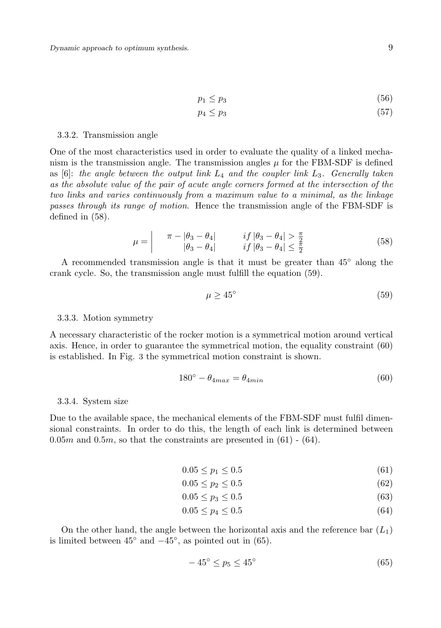$$
p_1 \le p_3 \tag{56}
$$

$$
p_4 \le p_3 \tag{57}
$$

#### 3.3.2. Transmission angle

One of the most characteristics used in order to evaluate the quality of a linked mechanism is the transmission angle. The transmission angles  $\mu$  for the FBM-SDF is defined as [6]: *the angle between the output link L*<sup>4</sup> *and the coupler link L*3*. Generally taken as the absolute value of the pair of acute angle corners formed at the intersection of the two links and varies continuously from a maximum value to a minimal, as the linkage passes through its range of motion*. Hence the transmission angle of the FBM-SDF is defined in (58).

$$
\mu = \begin{vmatrix} \pi - |\theta_3 - \theta_4| & \text{if } |\theta_3 - \theta_4| > \frac{\pi}{2} \\ |\theta_3 - \theta_4| & \text{if } |\theta_3 - \theta_4| \le \frac{\pi}{2} \end{vmatrix}
$$
 (58)

A recommended transmission angle is that it must be greater than 45*◦* along the crank cycle. So, the transmission angle must fulfill the equation (59).

$$
\mu \ge 45^{\circ} \tag{59}
$$

#### 3.3.3. Motion symmetry

A necessary characteristic of the rocker motion is a symmetrical motion around vertical axis. Hence, in order to guarantee the symmetrical motion, the equality constraint (60) is established. In Fig. 3 the symmetrical motion constraint is shown.

$$
180^\circ - \theta_{4max} = \theta_{4min} \tag{60}
$$

#### 3.3.4. System size

Due to the available space, the mechanical elements of the FBM-SDF must fulfil dimensional constraints. In order to do this, the length of each link is determined between  $0.05m$  and  $0.5m$ , so that the constraints are presented in  $(61)$  -  $(64)$ .

$$
0.05 \le p_1 \le 0.5 \tag{61}
$$

$$
0.05 \le p_2 \le 0.5 \tag{62}
$$

$$
0.05 \le p_3 \le 0.5 \tag{63}
$$

$$
0.05 \le p_4 \le 0.5 \tag{64}
$$

On the other hand, the angle between the horizontal axis and the reference bar (*L*1) is limited between 45*◦* and *−*45*◦* , as pointed out in (65).

$$
-45^{\circ} \le p_5 \le 45^{\circ} \tag{65}
$$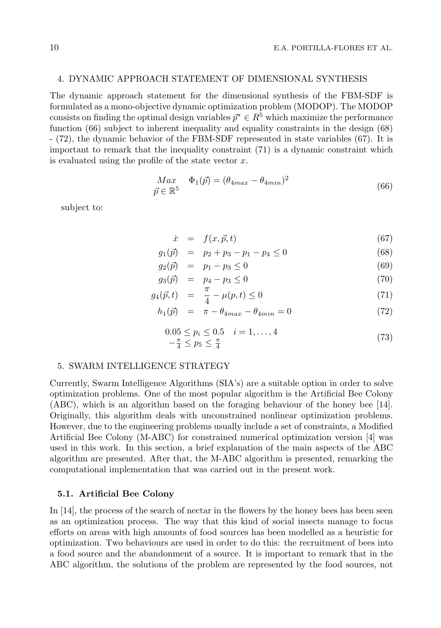## 4. DYNAMIC APPROACH STATEMENT OF DIMENSIONAL SYNTHESIS

The dynamic approach statement for the dimensional synthesis of the FBM-SDF is formulated as a mono-objective dynamic optimization problem (MODOP). The MODOP consists on finding the optimal design variables  $\bar{p}^* \in R^5$  which maximize the performance function (66) subject to inherent inequality and equality constraints in the design (68) - (72), the dynamic behavior of the FBM-SDF represented in state variables (67). It is important to remark that the inequality constraint (71) is a dynamic constraint which is evaluated using the profile of the state vector *x*.

$$
Max \quad \Phi_1(\vec{p}) = (\theta_{4max} - \theta_{4min})^2
$$
  

$$
\vec{p} \in \mathbb{R}^5
$$
 (66)

subject to:

$$
\dot{x} = f(x, \vec{p}, t) \tag{67}
$$

$$
g_1(\vec{p}) = p_2 + p_3 - p_1 - p_4 \le 0 \tag{68}
$$

$$
g_2(\vec{p}) = p_1 - p_3 \le 0 \tag{69}
$$

$$
g_3(\vec{p}) = p_4 - p_3 \le 0 \tag{70}
$$

$$
g_4(\vec{p}, t) = \frac{\pi}{4} - \mu(p, t) \le 0 \tag{71}
$$

$$
h_1(\vec{p}) = \pi - \theta_{4max} - \theta_{4min} = 0 \tag{72}
$$

$$
0.05 \le p_i \le 0.5 \quad i = 1, ..., 4
$$
  

$$
-\frac{\pi}{4} \le p_5 \le \frac{\pi}{4}
$$
 (73)

## 5. SWARM INTELLIGENCE STRATEGY

Currently, Swarm Intelligence Algorithms (SIA's) are a suitable option in order to solve optimization problems. One of the most popular algorithm is the Artificial Bee Colony (ABC), which is an algorithm based on the foraging behaviour of the honey bee [14]. Originally, this algorithm deals with unconstrained nonlinear optimization problems. However, due to the engineering problems usually include a set of constraints, a Modified Artificial Bee Colony (M-ABC) for constrained numerical optimization version [4] was used in this work. In this section, a brief explanation of the main aspects of the ABC algorithm are presented. After that, the M-ABC algorithm is presented, remarking the computational implementation that was carried out in the present work.

## **5.1. Artificial Bee Colony**

In [14], the process of the search of nectar in the flowers by the honey bees has been seen as an optimization process. The way that this kind of social insects manage to focus efforts on areas with high amounts of food sources has been modelled as a heuristic for optimization. Two behaviours are used in order to do this: the recruitment of bees into a food source and the abandonment of a source. It is important to remark that in the ABC algorithm, the solutions of the problem are represented by the food sources, not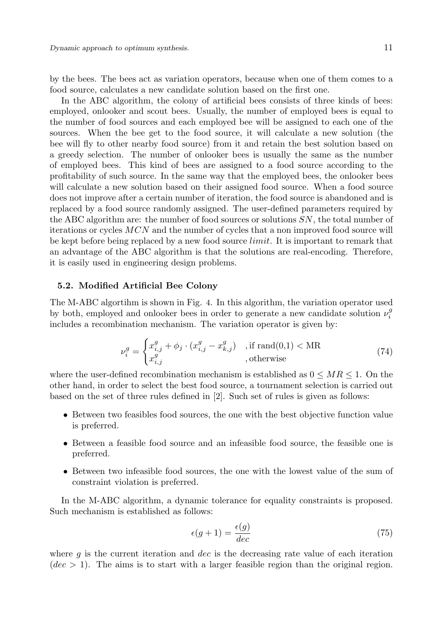by the bees. The bees act as variation operators, because when one of them comes to a food source, calculates a new candidate solution based on the first one.

In the ABC algorithm, the colony of artificial bees consists of three kinds of bees: employed, onlooker and scout bees. Usually, the number of employed bees is equal to the number of food sources and each employed bee will be assigned to each one of the sources. When the bee get to the food source, it will calculate a new solution (the bee will fly to other nearby food source) from it and retain the best solution based on a greedy selection. The number of onlooker bees is usually the same as the number of employed bees. This kind of bees are assigned to a food source according to the profitability of such source. In the same way that the employed bees, the onlooker bees will calculate a new solution based on their assigned food source. When a food source does not improve after a certain number of iteration, the food source is abandoned and is replaced by a food source randomly assigned. The user-defined parameters required by the ABC algorithm are: the number of food sources or solutions *SN*, the total number of iterations or cycles *MCN* and the number of cycles that a non improved food source will be kept before being replaced by a new food source *limit*. It is important to remark that an advantage of the ABC algorithm is that the solutions are real-encoding. Therefore, it is easily used in engineering design problems.

#### **5.2. Modified Artificial Bee Colony**

The M-ABC algortihm is shown in Fig. 4. In this algorithm, the variation operator used by both, employed and onlooker bees in order to generate a new candidate solution  $\nu_i^g$ includes a recombination mechanism. The variation operator is given by:

$$
\nu_i^g = \begin{cases} x_{i,j}^g + \phi_j \cdot (x_{i,j}^g - x_{k,j}^g) & \text{, if } \text{rand}(0,1) < \text{MR} \\ x_{i,j}^g & \text{, otherwise} \end{cases} \tag{74}
$$

where the user-defined recombination mechanism is established as  $0 \le MR \le 1$ . On the other hand, in order to select the best food source, a tournament selection is carried out based on the set of three rules defined in [2]. Such set of rules is given as follows:

- Between two feasibles food sources, the one with the best objective function value is preferred.
- Between a feasible food source and an infeasible food source, the feasible one is preferred.
- Between two infeasible food sources, the one with the lowest value of the sum of constraint violation is preferred.

In the M-ABC algorithm, a dynamic tolerance for equality constraints is proposed. Such mechanism is established as follows:

$$
\epsilon(g+1) = \frac{\epsilon(g)}{dec} \tag{75}
$$

where *g* is the current iteration and *dec* is the decreasing rate value of each iteration  $(dec > 1)$ . The aims is to start with a larger feasible region than the original region.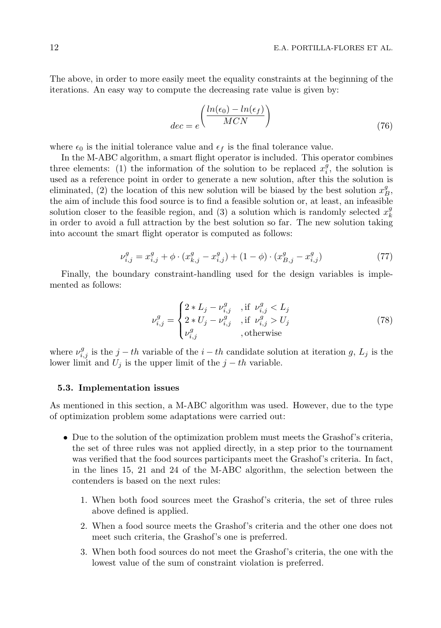The above, in order to more easily meet the equality constraints at the beginning of the iterations. An easy way to compute the decreasing rate value is given by:

$$
dec = e^{\left(\frac{ln(\epsilon_0) - ln(\epsilon_f)}{MCN}\right)}
$$
\n(76)

where  $\epsilon_0$  is the initial tolerance value and  $\epsilon_f$  is the final tolerance value.

In the M-ABC algorithm, a smart flight operator is included. This operator combines three elements: (1) the information of the solution to be replaced  $x_i^{\bar{g}}$ , the solution is used as a reference point in order to generate a new solution, after this the solution is eliminated, (2) the location of this new solution will be biased by the best solution  $x_B^g$ , the aim of include this food source is to find a feasible solution or, at least, an infeasible solution closer to the feasible region, and (3) a solution which is randomly selected  $x_k^g$ in order to avoid a full attraction by the best solution so far. The new solution taking into account the smart flight operator is computed as follows:

$$
\nu_{i,j}^g = x_{i,j}^g + \phi \cdot (x_{k,j}^g - x_{i,j}^g) + (1 - \phi) \cdot (x_{B,j}^g - x_{i,j}^g) \tag{77}
$$

Finally, the boundary constraint-handling used for the design variables is implemented as follows:

$$
\nu_{i,j}^{g} = \begin{cases} 2 * L_j - \nu_{i,j}^{g} & , \text{if } \nu_{i,j}^{g} < L_j \\ 2 * U_j - \nu_{i,j}^{g} & , \text{if } \nu_{i,j}^{g} > U_j \\ \nu_{i,j}^{g} & , \text{otherwise} \end{cases}
$$
(78)

where  $\nu_{i,j}^g$  is the *j* − *th* variable of the *i* − *th* candidate solution at iteration *g*, *L<sub>j</sub>* is the lower limit and  $U_j$  is the upper limit of the  $j - th$  variable.

#### **5.3. Implementation issues**

As mentioned in this section, a M-ABC algorithm was used. However, due to the type of optimization problem some adaptations were carried out:

- Due to the solution of the optimization problem must meets the Grashof's criteria, the set of three rules was not applied directly, in a step prior to the tournament was verified that the food sources participants meet the Grashof's criteria. In fact, in the lines 15, 21 and 24 of the M-ABC algorithm, the selection between the contenders is based on the next rules:
	- 1. When both food sources meet the Grashof's criteria, the set of three rules above defined is applied.
	- 2. When a food source meets the Grashof's criteria and the other one does not meet such criteria, the Grashof's one is preferred.
	- 3. When both food sources do not meet the Grashof's criteria, the one with the lowest value of the sum of constraint violation is preferred.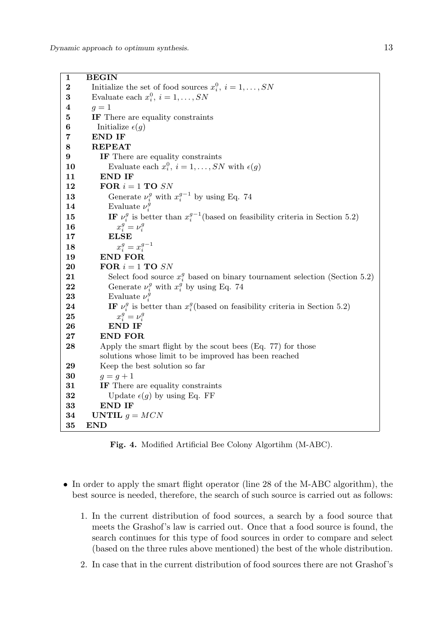**1 BEGIN 2** Initialize the set of food sources  $x_i^0$ ,  $i = 1, ..., SN$ **3** Evaluate each  $x_i^0$ ,  $i = 1, \ldots, SN$ **4**  $q = 1$ **5 IF** There are equality constraints **6** Initialize  $\epsilon(q)$ **7 END IF 8 REPEAT 9 IF** There are equality constraints **10** Evaluate each  $x_i^0$ ,  $i = 1, ..., SN$  with  $\epsilon(g)$ **11 END IF 12 FOR** *i* = 1 **TO** *SN* **13** Generate  $\nu_i^g$  with  $x_i^{g-1}$  by using Eq. 74 **14** Evaluate  $\nu_i^g$ **15 IF**  $\nu_i^g$  is better than  $x_i^{g-1}$  (based on feasibility criteria in Section 5.2) **16** *x*  $\frac{g}{i} = \nu_i^g$ **17 ELSE 18** *x*  $\frac{g}{i} = x_i^{g-1}$ **19 END FOR 20 FOR** *i* = 1 **TO** *SN* **21** Select food source  $x_i^g$  based on binary tournament selection (Section 5.2) **22** Generate  $\nu_i^g$  with  $x_i^g$  by using Eq. 74 **23** Evaluate  $\nu_i^{\hat{g}}$ **24 IF**  $\nu_i^g$  is better than  $x_i^g$  (based on feasibility criteria in Section 5.2) **25** *x*  $\frac{g}{i} = \nu_i^g$ **26 END IF 27 END FOR 28** Apply the smart flight by the scout bees (Eq. 77) for those solutions whose limit to be improved has been reached **29** Keep the best solution so far **30**  $g = g + 1$ **31 IF** There are equality constraints **32** Update  $\epsilon(q)$  by using Eq. FF **33 END IF 34 UNTIL**  $q = MCN$ **35 END**

**Fig. 4.** Modified Artificial Bee Colony Algortihm (M-ABC).

- In order to apply the smart flight operator (line 28 of the M-ABC algorithm), the best source is needed, therefore, the search of such source is carried out as follows:
	- 1. In the current distribution of food sources, a search by a food source that meets the Grashof's law is carried out. Once that a food source is found, the search continues for this type of food sources in order to compare and select (based on the three rules above mentioned) the best of the whole distribution.
	- 2. In case that in the current distribution of food sources there are not Grashof's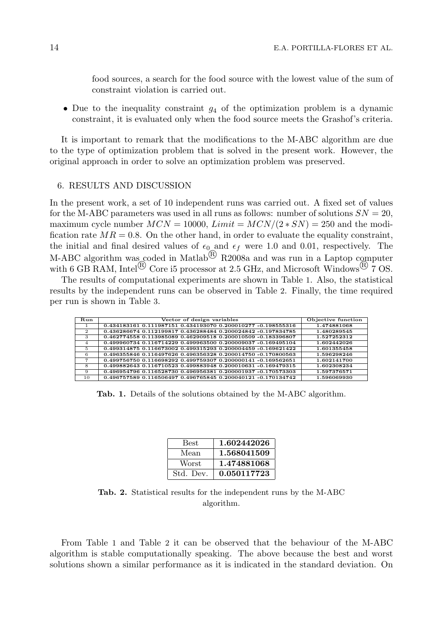food sources, a search for the food source with the lowest value of the sum of constraint violation is carried out.

• Due to the inequality constraint  $g_4$  of the optimization problem is a dynamic constraint, it is evaluated only when the food source meets the Grashof's criteria.

It is important to remark that the modifications to the M-ABC algorithm are due to the type of optimization problem that is solved in the present work. However, the original approach in order to solve an optimization problem was preserved.

## 6. RESULTS AND DISCUSSION

In the present work, a set of 10 independent runs was carried out. A fixed set of values for the M-ABC parameters was used in all runs as follows: number of solutions  $SN = 20$ , maximum cycle number  $MCN = 10000$ ,  $Limit = MCN/(2 * SN) = 250$  and the modification rate  $MR = 0.8$ . On the other hand, in order to evaluate the equality constraint, the initial and final desired values of  $\epsilon_0$  and  $\epsilon_f$  were 1.0 and 0.01, respectively. The M-ABC algorithm was coded in Matlab<sup>(B)</sup> R2008a and was run in a Laptop computer with 6 GB RAM, Intel<sup>(B)</sup> Core i5 processor at 2.5 GHz, and Microsoft Windows<sup>(B)</sup> 7 OS.

The results of computational experiments are shown in Table 1. Also, the statistical results by the independent runs can be observed in Table 2. Finally, the time required per run is shown in Table 3.

| Run | Vector of design variables                                   | Objective function |
|-----|--------------------------------------------------------------|--------------------|
|     | 0.434183161 0.111987151 0.434193070 0.200010277 -0.198555316 | 1.474881068        |
| 2   | 0.436286674 0.112199817 0.436288484 0.200024842 -0.197834785 | 1.480289545        |
| 3   | 0.462774558 0.113985089 0.462909518 0.200010509 -0.183396807 | 1.527252312        |
| 4   | 0.499960734 0.116714229 0.499963500 0.200009037 -0.169495104 | 1.602442026        |
| -5  | 0.499314875 0.116673002 0.499315293 0.200004459 -0.169621422 | 1.601355458        |
| 6   | 0.496355846 0.116497626 0.496356328 0.200014750 -0.170800563 | 1.596298246        |
|     | 0.499756750 0.116698292 0.499759307 0.200000141 -0.169562651 | 1.602141700        |
| 8   | 0.499882643 0.116710523 0.499883948 0.200010631 -0.169479315 | 1.602308234        |
| 9   | 0.496954796 0.116528730 0.496956381 0.200001937 -0.170573303 | 1.597376571        |
| 10  | 0.496757589 0.116506497 0.496765845 0.200040121 -0.170134742 | 1.596069930        |

**Tab. 1.** Details of the solutions obtained by the M-ABC algorithm.

| Best         | 1.602442026 |
|--------------|-------------|
| Mean         | 1.568041509 |
| <b>Worst</b> | 1.474881068 |
| Std. Dev.    | 0.050117723 |

**Tab. 2.** Statistical results for the independent runs by the M-ABC algorithm.

From Table 1 and Table 2 it can be observed that the behaviour of the M-ABC algorithm is stable computationally speaking. The above because the best and worst solutions shown a similar performance as it is indicated in the standard deviation. On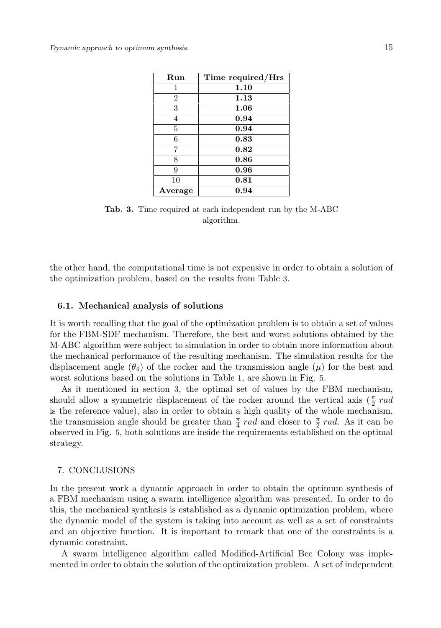| Run            | Time required/Hrs |
|----------------|-------------------|
| 1              | 1.10              |
| $\overline{2}$ | 1.13              |
| 3              | 1.06              |
| 4              | 0.94              |
| 5              | 0.94              |
| 6              | 0.83              |
| 7              | 0.82              |
| 8              | 0.86              |
| 9              | 0.96              |
| 10             | 0.81              |
| Average        | 0.94              |

**Tab. 3.** Time required at each independent run by the M-ABC algorithm.

the other hand, the computational time is not expensive in order to obtain a solution of the optimization problem, based on the results from Table 3.

## **6.1. Mechanical analysis of solutions**

It is worth recalling that the goal of the optimization problem is to obtain a set of values for the FBM-SDF mechanism. Therefore, the best and worst solutions obtained by the M-ABC algorithm were subject to simulation in order to obtain more information about the mechanical performance of the resulting mechanism. The simulation results for the displacement angle  $(\theta_4)$  of the rocker and the transmission angle  $(\mu)$  for the best and worst solutions based on the solutions in Table 1, are shown in Fig. 5.

As it mentioned in section 3, the optimal set of values by the FBM mechanism, should allow a symmetric displacement of the rocker around the vertical axis  $(\frac{\pi}{2} rad)$ is the reference value), also in order to obtain a high quality of the whole mechanism, the transmission angle should be greater than  $\frac{\pi}{4}$  *rad* and closer to  $\frac{\pi}{2}$  *rad*. As it can be observed in Fig. 5, both solutions are inside the requirements established on the optimal strategy.

## 7. CONCLUSIONS

In the present work a dynamic approach in order to obtain the optimum synthesis of a FBM mechanism using a swarm intelligence algorithm was presented. In order to do this, the mechanical synthesis is established as a dynamic optimization problem, where the dynamic model of the system is taking into account as well as a set of constraints and an objective function. It is important to remark that one of the constraints is a dynamic constraint.

A swarm intelligence algorithm called Modified-Artificial Bee Colony was implemented in order to obtain the solution of the optimization problem. A set of independent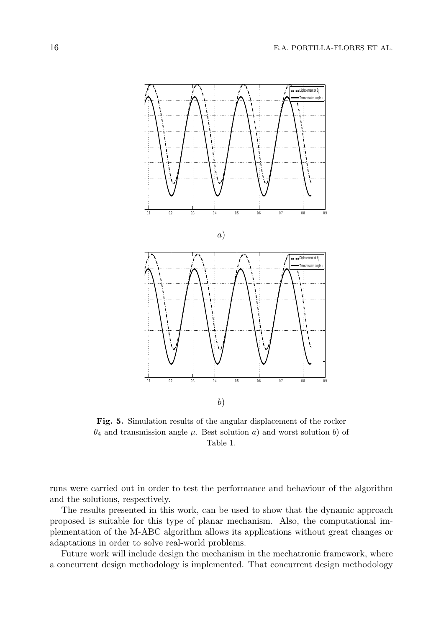

**Fig. 5.** Simulation results of the angular displacement of the rocker *θ*<sup>4</sup> and transmission angle *µ*. Best solution *a*) and worst solution *b*) of Table 1.

runs were carried out in order to test the performance and behaviour of the algorithm and the solutions, respectively.

The results presented in this work, can be used to show that the dynamic approach proposed is suitable for this type of planar mechanism. Also, the computational implementation of the M-ABC algorithm allows its applications without great changes or adaptations in order to solve real-world problems.

Future work will include design the mechanism in the mechatronic framework, where a concurrent design methodology is implemented. That concurrent design methodology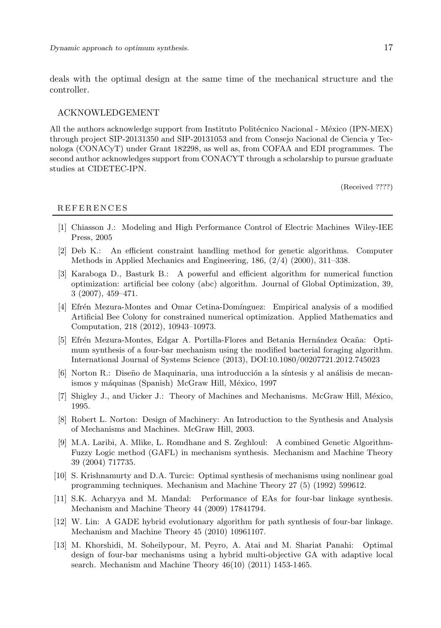deals with the optimal design at the same time of the mechanical structure and the controller.

## ACKNOWLEDGEMENT

All the authors acknowledge support from Instituto Politécnico Nacional - México (IPN-MEX) through project SIP-20131350 and SIP-20131053 and from Consejo Nacional de Ciencia y Tecnologa (CONACyT) under Grant 182298, as well as, from COFAA and EDI programmes. The second author acknowledges support from CONACYT through a scholarship to pursue graduate studies at CIDETEC-IPN.

(Received ????)

## R E F E R E N C E S

- [1] Chiasson J.: Modeling and High Performance Control of Electric Machines Wiley-IEE Press, 2005
- [2] Deb K.: An efficient constraint handling method for genetic algorithms. Computer Methods in Applied Mechanics and Engineering, 186, (2/4) (2000), 311–338.
- [3] Karaboga D., Basturk B.: A powerful and efficient algorithm for numerical function optimization: artificial bee colony (abc) algorithm. Journal of Global Optimization, 39, 3 (2007), 459–471.
- [4] Efrén Mezura-Montes and Omar Cetina-Domínguez: Empirical analysis of a modified Artificial Bee Colony for constrained numerical optimization. Applied Mathematics and Computation, 218 (2012), 10943–10973.
- [5] Efrén Mezura-Montes, Edgar A. Portilla-Flores and Betania Hernández Ocaña: Optimum synthesis of a four-bar mechanism using the modified bacterial foraging algorithm. International Journal of Systems Science (2013), DOI:10.1080/00207721.2012.745023
- [6] Norton R.: Diseño de Maquinaria, una introducción a la síntesis y al análisis de mecanismos y máquinas (Spanish) McGraw Hill, México, 1997
- [7] Shigley J., and Uicker J.: Theory of Machines and Mechanisms. McGraw Hill, México, 1995.
- [8] Robert L. Norton: Design of Machinery: An Introduction to the Synthesis and Analysis of Mechanisms and Machines. McGraw Hill, 2003.
- [9] M.A. Laribi, A. Mlike, L. Romdhane and S. Zeghloul: A combined Genetic Algorithm-Fuzzy Logic method (GAFL) in mechanism synthesis. Mechanism and Machine Theory 39 (2004) 717735.
- [10] S. Krishnamurty and D.A. Turcic: Optimal synthesis of mechanisms using nonlinear goal programming techniques. Mechanism and Machine Theory 27 (5) (1992) 599612.
- [11] S.K. Acharyya and M. Mandal: Performance of EAs for four-bar linkage synthesis. Mechanism and Machine Theory 44 (2009) 17841794.
- [12] W. Lin: A GADE hybrid evolutionary algorithm for path synthesis of four-bar linkage. Mechanism and Machine Theory 45 (2010) 10961107.
- [13] M. Khorshidi, M. Soheilypour, M. Peyro, A. Atai and M. Shariat Panahi: Optimal design of four-bar mechanisms using a hybrid multi-objective GA with adaptive local search. Mechanism and Machine Theory 46(10) (2011) 1453-1465.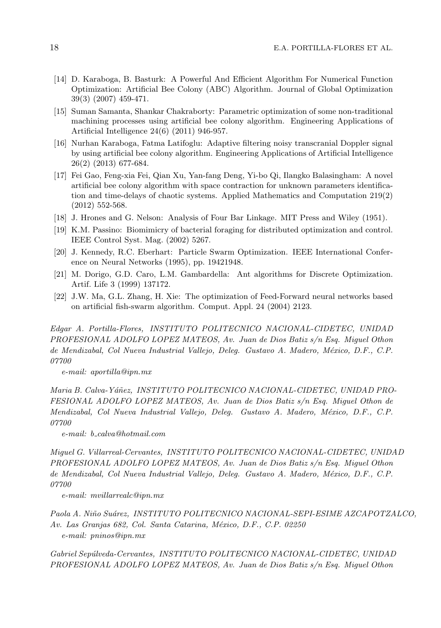- [14] D. Karaboga, B. Basturk: A Powerful And Efficient Algorithm For Numerical Function Optimization: Artificial Bee Colony (ABC) Algorithm. Journal of Global Optimization 39(3) (2007) 459-471.
- [15] Suman Samanta, Shankar Chakraborty: Parametric optimization of some non-traditional machining processes using artificial bee colony algorithm. Engineering Applications of Artificial Intelligence 24(6) (2011) 946-957.
- [16] Nurhan Karaboga, Fatma Latifoglu: Adaptive filtering noisy transcranial Doppler signal by using artificial bee colony algorithm. Engineering Applications of Artificial Intelligence 26(2) (2013) 677-684.
- [17] Fei Gao, Feng-xia Fei, Qian Xu, Yan-fang Deng, Yi-bo Qi, Ilangko Balasingham: A novel artificial bee colony algorithm with space contraction for unknown parameters identification and time-delays of chaotic systems. Applied Mathematics and Computation 219(2) (2012) 552-568.
- [18] J. Hrones and G. Nelson: Analysis of Four Bar Linkage. MIT Press and Wiley (1951).
- [19] K.M. Passino: Biomimicry of bacterial foraging for distributed optimization and control. IEEE Control Syst. Mag. (2002) 5267.
- [20] J. Kennedy, R.C. Eberhart: Particle Swarm Optimization. IEEE International Conference on Neural Networks (1995), pp. 19421948.
- [21] M. Dorigo, G.D. Caro, L.M. Gambardella: Ant algorithms for Discrete Optimization. Artif. Life 3 (1999) 137172.
- [22] J.W. Ma, G.L. Zhang, H. Xie: The optimization of Feed-Forward neural networks based on artificial fish-swarm algorithm. Comput. Appl. 24 (2004) 2123.

*Edgar A. Portilla-Flores, INSTITUTO POLITECNICO NACIONAL-CIDETEC, UNIDAD PROFESIONAL ADOLFO LOPEZ MATEOS, Av. Juan de Dios Batiz s/n Esq. Miguel Othon de Mendizabal, Col Nueva Industrial Vallejo, Deleg. Gustavo A. Madero, M´exico, D.F., C.P. 07700*

*e-mail: aportilla@ipn.mx*

Maria B. Calva-Yáñez, INSTITUTO POLITECNICO NACIONAL-CIDETEC, UNIDAD PRO-*FESIONAL ADOLFO LOPEZ MATEOS, Av. Juan de Dios Batiz s/n Esq. Miguel Othon de Mendizabal, Col Nueva Industrial Vallejo, Deleg. Gustavo A. Madero, M´exico, D.F., C.P. 07700*

*e-mail: b calva@hotmail.com*

*Miguel G. Villarreal-Cervantes, INSTITUTO POLITECNICO NACIONAL-CIDETEC, UNIDAD PROFESIONAL ADOLFO LOPEZ MATEOS, Av. Juan de Dios Batiz s/n Esq. Miguel Othon de Mendizabal, Col Nueva Industrial Vallejo, Deleg. Gustavo A. Madero, M´exico, D.F., C.P. 07700*

*e-mail: mvillarrealc@ipn.mx*

*Paola A. Ni˜no Su´arez, INSTITUTO POLITECNICO NACIONAL-SEPI-ESIME AZCAPOTZALCO, Av. Las Granjas 682, Col. Santa Catarina, M´exico, D.F., C.P. 02250 e-mail: pninos@ipn.mx*

*Gabriel Sep´ulveda-Cervantes, INSTITUTO POLITECNICO NACIONAL-CIDETEC, UNIDAD PROFESIONAL ADOLFO LOPEZ MATEOS, Av. Juan de Dios Batiz s/n Esq. Miguel Othon*